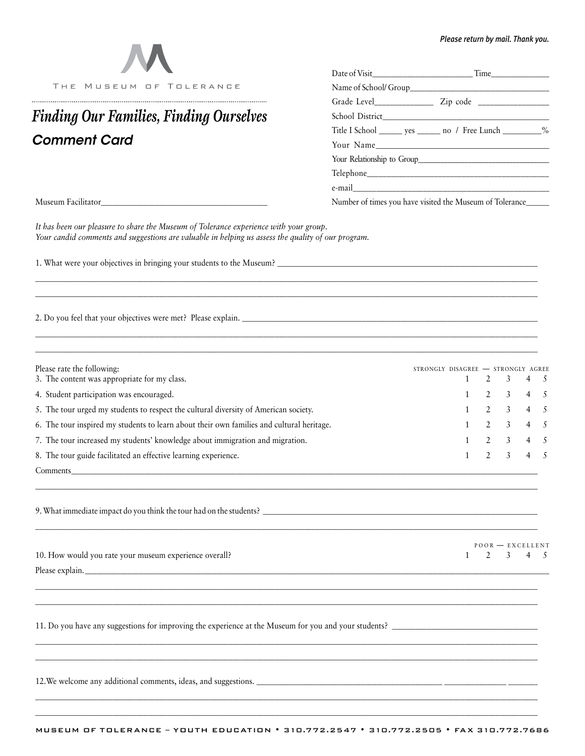| <b>M</b> |                         |
|----------|-------------------------|
|          | THE MUSEUM OF TOLERANCE |

## *Comment Card Finding Our Families, Finding Ourselves*

| THE MUSEUM OF TOLERANCE                 |                                                                |  |  |  |  |
|-----------------------------------------|----------------------------------------------------------------|--|--|--|--|
|                                         |                                                                |  |  |  |  |
| Finding Our Families, Finding Ourselves |                                                                |  |  |  |  |
|                                         | Title I School _______ yes _______ no / Free Lunch __________% |  |  |  |  |
| Comment Card                            | Your Name                                                      |  |  |  |  |
|                                         | Your Relationship to Group                                     |  |  |  |  |
|                                         |                                                                |  |  |  |  |
|                                         |                                                                |  |  |  |  |
| Museum Facilitator                      | Number of times you have visited the Museum of Tolerance_      |  |  |  |  |

*It has been our pleasure to share the Museum of Tolerance experience with your group. Your candid comments and suggestions are valuable in helping us assess the quality of our program.* 

1. What were your objectives in bringing your students to the Museum? \_\_\_\_\_\_\_\_\_\_\_\_\_\_\_\_\_\_\_\_\_\_\_\_\_\_\_\_\_\_\_\_\_\_\_\_\_\_\_\_\_\_\_\_\_\_\_\_\_\_\_\_\_\_\_\_\_\_\_\_\_\_\_\_\_\_\_\_\_\_

2. Do you feel that your objectives were met? Please explain.

| Please rate the following:                                                                | STRONGLY DISAGREE - STRONGLY AGREE |  |                             |             |  |
|-------------------------------------------------------------------------------------------|------------------------------------|--|-----------------------------|-------------|--|
| 3. The content was appropriate for my class.                                              |                                    |  | $1 \quad 2 \quad 3$         | $4 \quad 5$ |  |
| 4. Student participation was encouraged.                                                  |                                    |  | $2 \t3 \t4 \t5$             |             |  |
| 5. The tour urged my students to respect the cultural diversity of American society.      |                                    |  | $2 \quad 3 \quad 4 \quad 5$ |             |  |
| 6. The tour inspired my students to learn about their own families and cultural heritage. |                                    |  | $2 \t3 \t4 \t5$             |             |  |
| 7. The tour increased my students' knowledge about immigration and migration.             |                                    |  | $2 \t3 \t4 \t5$             |             |  |
| 8. The tour guide facilitated an effective learning experience.                           |                                    |  | 2 3 4 5                     |             |  |
| Comments                                                                                  |                                    |  |                             |             |  |

\_\_\_\_\_\_\_\_\_\_\_\_\_\_\_\_\_\_\_\_\_\_\_\_\_\_\_\_\_\_\_\_\_\_\_\_\_\_\_\_\_\_\_\_\_\_\_\_\_\_\_\_\_\_\_\_\_\_\_\_\_\_\_\_\_\_\_\_\_\_\_\_\_\_\_\_\_\_\_\_\_\_\_\_\_\_\_\_\_\_\_\_\_\_\_\_\_\_\_\_\_\_\_\_\_\_\_\_\_\_\_\_\_\_\_\_\_\_\_\_\_\_\_\_\_\_\_\_\_\_\_\_ \_\_\_\_\_\_\_\_\_\_\_\_\_\_\_\_\_\_\_\_\_\_\_\_\_\_\_\_\_\_\_\_\_\_\_\_\_\_\_\_\_\_\_\_\_\_\_\_\_\_\_\_\_\_\_\_\_\_\_\_\_\_\_\_\_\_\_\_\_\_\_\_\_\_\_\_\_\_\_\_\_\_\_\_\_\_\_\_\_\_\_\_\_\_\_\_\_\_\_\_\_\_\_\_\_\_\_\_\_\_\_\_\_\_\_\_\_\_\_\_\_\_\_\_\_\_\_\_\_\_\_\_

*\_\_\_\_\_\_\_\_\_\_\_\_\_\_\_\_\_\_\_\_\_\_\_\_\_\_\_\_\_\_\_\_\_\_\_\_\_\_\_\_\_\_\_\_\_\_\_\_\_\_\_\_\_\_\_\_\_\_\_\_\_\_\_\_\_\_\_\_\_\_\_\_\_\_\_\_\_\_\_\_\_\_\_\_\_\_\_\_\_\_\_\_\_\_\_\_\_\_\_\_\_\_\_\_\_\_\_\_\_\_\_\_\_\_\_\_\_\_\_\_\_\_\_\_\_\_\_\_\_\_\_\_ \_\_\_\_\_\_\_\_\_\_\_\_\_\_\_\_\_\_\_\_\_\_\_\_\_\_\_\_\_\_\_\_\_\_\_\_\_\_\_\_\_\_\_\_\_\_\_\_\_\_\_\_\_\_\_\_\_\_\_\_\_\_\_\_\_\_\_\_\_\_\_\_\_\_\_\_\_\_\_\_\_\_\_\_\_\_\_\_\_\_\_\_\_\_\_\_\_\_\_\_\_\_\_\_\_\_\_\_\_\_\_\_\_\_\_\_\_\_\_\_\_\_\_\_\_\_\_\_\_\_\_\_*

9. What immediate impact do you think the tour had on the students? \_\_\_\_\_\_\_\_\_\_\_\_\_\_\_\_\_\_\_\_\_\_\_\_\_\_\_\_\_\_\_\_\_\_\_\_\_\_\_\_\_\_\_\_\_\_\_\_\_\_\_\_\_\_\_\_\_\_\_\_\_\_\_\_\_\_\_\_\_\_\_\_\_\_

|                                                        | $POOR$ - EXCELLENT |           |  |  |  |  |
|--------------------------------------------------------|--------------------|-----------|--|--|--|--|
| 10. How would you rate your museum experience overall? |                    | 1 2 3 4 5 |  |  |  |  |
| Please explain.                                        |                    |           |  |  |  |  |

*\_\_\_\_\_\_\_\_\_\_\_\_\_\_\_\_\_\_\_\_\_\_\_\_\_\_\_\_\_\_\_\_\_\_\_\_\_\_\_\_\_\_\_\_\_\_\_\_\_\_\_\_\_\_\_\_\_\_\_\_\_\_\_\_\_\_\_\_\_\_\_\_\_\_\_\_\_\_\_\_\_\_\_\_\_\_\_\_\_\_\_\_\_\_\_\_\_\_\_\_\_\_\_\_\_\_\_\_\_\_\_\_\_\_\_\_\_\_\_\_\_\_\_\_\_\_\_\_\_\_\_\_ \_\_\_\_\_\_\_\_\_\_\_\_\_\_\_\_\_\_\_\_\_\_\_\_\_\_\_\_\_\_\_\_\_\_\_\_\_\_\_\_\_\_\_\_\_\_\_\_\_\_\_\_\_\_\_\_\_\_\_\_\_\_\_\_\_\_\_\_\_\_\_\_\_\_\_\_\_\_\_\_\_\_\_\_\_\_\_\_\_\_\_\_\_\_\_\_\_\_\_\_\_\_\_\_\_\_\_\_\_\_\_\_\_\_\_\_\_\_\_\_\_\_\_\_\_\_\_\_\_\_\_\_*

*\_\_\_\_\_\_\_\_\_\_\_\_\_\_\_\_\_\_\_\_\_\_\_\_\_\_\_\_\_\_\_\_\_\_\_\_\_\_\_\_\_\_\_\_\_\_\_\_\_\_\_\_\_\_\_\_\_\_\_\_\_\_\_\_\_\_\_\_\_\_\_\_\_\_\_\_\_\_\_\_\_\_\_\_\_\_\_\_\_\_\_\_\_\_\_\_\_\_\_\_\_\_\_\_\_\_\_\_\_\_\_\_\_\_\_\_\_\_\_\_\_\_\_\_\_\_\_\_\_\_\_\_ \_\_\_\_\_\_\_\_\_\_\_\_\_\_\_\_\_\_\_\_\_\_\_\_\_\_\_\_\_\_\_\_\_\_\_\_\_\_\_\_\_\_\_\_\_\_\_\_\_\_\_\_\_\_\_\_\_\_\_\_\_\_\_\_\_\_\_\_\_\_\_\_\_\_\_\_\_\_\_\_\_\_\_\_\_\_\_\_\_\_\_\_\_\_\_\_\_\_\_\_\_\_\_\_\_\_\_\_\_\_\_\_\_\_\_\_\_\_\_\_\_\_\_\_\_\_\_\_\_\_\_\_*

\_\_\_\_\_\_\_\_\_\_\_\_\_\_\_\_\_\_\_\_\_\_\_\_\_\_\_\_\_\_\_\_\_\_\_\_\_\_\_\_\_\_\_\_\_\_\_\_\_\_\_\_\_\_\_\_\_\_\_\_\_\_\_\_\_\_\_\_\_\_\_\_\_\_\_\_\_\_\_\_\_\_\_\_\_\_\_\_\_\_\_\_\_\_\_\_\_\_\_\_\_\_\_\_\_\_\_\_\_\_\_\_\_\_\_\_\_\_\_\_\_\_\_\_\_\_\_\_\_\_\_\_

\_\_\_\_\_\_\_\_\_\_\_\_\_\_\_\_\_\_\_\_\_\_\_\_\_\_\_\_\_\_\_\_\_\_\_\_\_\_\_\_\_\_\_\_\_\_\_\_\_\_\_\_\_\_\_\_\_\_\_\_\_\_\_\_\_\_\_\_\_\_\_\_\_\_\_\_\_\_\_\_\_\_\_\_\_\_\_\_\_\_\_\_\_\_\_\_\_\_\_\_\_\_\_\_\_\_\_\_\_\_\_\_\_\_\_\_\_\_\_\_\_\_\_\_\_\_\_\_\_\_\_\_\_\_\_\_\_\_\_

11. Do you have any suggestions for improving the experience at the Museum for you and your students? \_\_\_\_\_\_\_\_\_\_\_\_\_\_\_\_\_\_\_\_\_\_\_\_\_\_\_\_\_\_\_\_\_\_\_\_\_\_\_\_

12.We welcome any additional comments, ideas, and suggestions. \_\_\_\_\_\_\_\_\_\_\_\_\_\_\_\_\_\_\_\_\_\_\_\_\_\_\_\_\_\_\_\_\_\_\_\_\_\_\_\_\_\_\_\_\_\_\_\_ \_\_\_\_\_\_\_\_\_\_\_\_\_\_\_\_ \_\_\_\_\_\_\_\_\_\_

*\_\_\_\_\_\_\_\_\_\_\_\_\_\_\_\_\_\_\_\_\_\_\_\_\_\_\_\_\_\_\_\_\_\_\_\_\_\_\_\_\_\_\_\_\_\_\_\_\_\_\_\_\_\_\_\_\_\_\_\_\_\_\_\_\_\_\_\_\_\_\_\_\_\_\_\_\_\_\_\_\_\_\_\_\_\_\_\_\_\_\_\_\_\_\_\_\_\_\_\_\_\_\_\_\_\_\_\_\_\_\_\_\_\_\_\_\_\_\_\_\_\_\_\_\_\_\_\_\_\_\_\_*